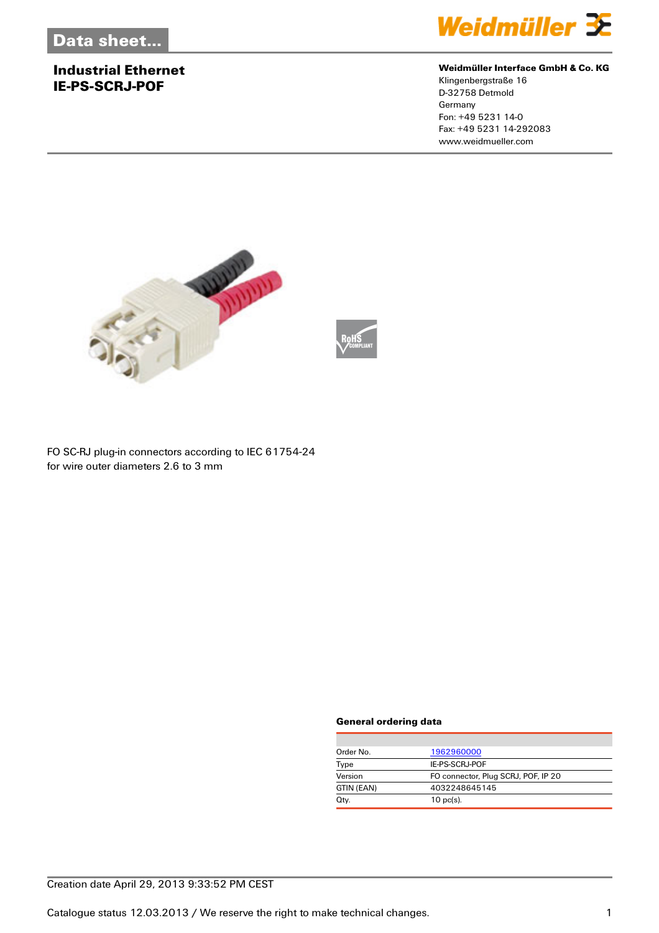## **Industrial Ethernet IE-PS-SCRJ-POF**



#### **Weidmüller Interface GmbH & Co. KG**

Klingenbergstraße 16 D-32758 Detmold Germany Fon: +49 5231 14-0 Fax: +49 5231 14-292083 www.weidmueller.com



FO SC-RJ plug-in connectors according to IEC 61754-24

for wire outer diameters 2.6 to 3 mm

#### **General ordering data**

| Order No.  | 1962960000                          |
|------------|-------------------------------------|
| Type       | IE-PS-SCRJ-POF                      |
| Version    | FO connector, Plug SCRJ, POF, IP 20 |
| GTIN (EAN) | 4032248645145                       |
| Qty.       | $10 \text{ pc(s)}$ .                |